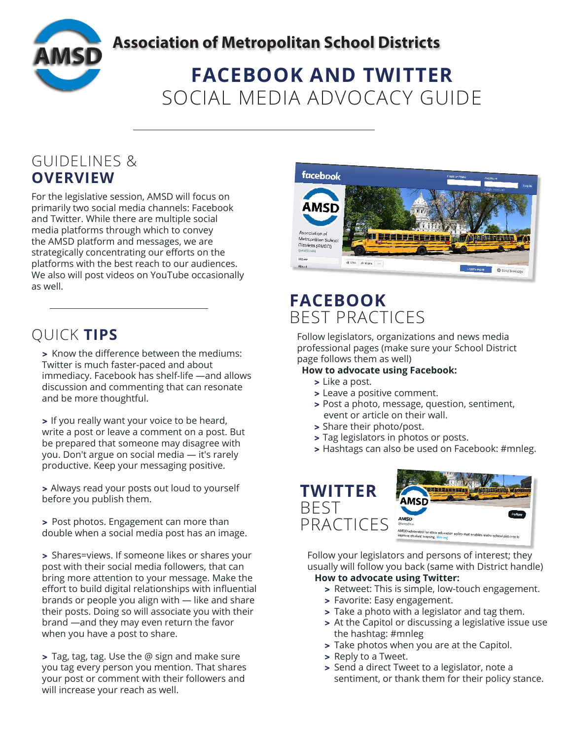

### **Association of Metropolitan School Districts**

# **FACEBOOK AND TWITTER** SOCIAL MEDIA ADVOCACY GUIDE

### GUIDELINES & **OVERVIEW**

For the legislative session, AMSD will focus on primarily two social media channels: Facebook and Twitter. While there are multiple social media platforms through which to convey the AMSD platform and messages, we are strategically concentrating our efforts on the platforms with the best reach to our audiences. We also will post videos on YouTube occasionally as well.

> Know the difference between the mediums: Twitter is much faster-paced and about immediacy. Facebook has shelf-life —and allows discussion and commenting that can resonate and be more thoughtful.

> If you really want your voice to be heard, write a post or leave a comment on a post. But be prepared that someone may disagree with you. Don't argue on social media — it's rarely productive. Keep your messaging positive.

> Always read your posts out loud to yourself before you publish them.

> Post photos. Engagement can more than double when a social media post has an image.

> Shares=views. If someone likes or shares your post with their social media followers, that can bring more attention to your message. Make the effort to build digital relationships with influential brands or people you align with — like and share their posts. Doing so will associate you with their brand —and they may even return the favor when you have a post to share.

> Tag, tag, tag. Use the @ sign and make sure you tag every person you mention. That shares your post or comment with their followers and will increase your reach as well.



### **FACEBOOK** BEST PRACTICES

QUICK **TIPS** Follow legislators, organizations and news media professional pages (make sure your School District page follows them as well)

### **How to advocate using Facebook:**

- > Like a post.
- > Leave a positive comment.
- > Post a photo, message, question, sentiment, event or article on their wall.
- > Share their photo/post.
- > Tag legislators in photos or posts.
- > Hashtags can also be used on Facebook: #mnleg.



Follow your legislators and persons of interest; they usually will follow you back (same with District handle) **How to advocate using Twitter:**

- > Retweet: This is simple, low-touch engagement.
- > Favorite: Easy engagement.
- > Take a photo with a legislator and tag them.
- > At the Capitol or discussing a legislative issue use the hashtag: #mnleg
- > Take photos when you are at the Capitol.
- > Reply to a Tweet.
- > Send a direct Tweet to a legislator, note a sentiment, or thank them for their policy stance.